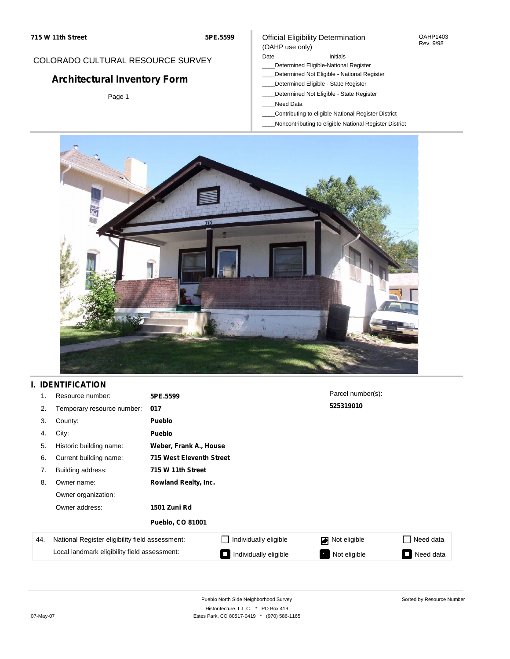#### OAHP1403 Rev. 9/98

## COLORADO CULTURAL RESOURCE SURVEY

# **Architectural Inventory Form**

Page 1

## Official Eligibility Determination (OAHP use only)

### Date **Initials** Initials

- \_\_\_\_Determined Eligible-National Register
- \_\_\_\_Determined Not Eligible National Register
- \_\_\_\_Determined Eligible State Register
- \_\_\_\_Determined Not Eligible State Register
- \_\_\_\_Need Data
- \_\_\_\_Contributing to eligible National Register District
- \_\_\_\_Noncontributing to eligible National Register District



## **I. IDENTIFICATION**

| 1.  | Resource number:                                | 5PE.5599                    |                          | Parcel number(s): |                                       |  |  |  |
|-----|-------------------------------------------------|-----------------------------|--------------------------|-------------------|---------------------------------------|--|--|--|
| 2.  | Temporary resource number:                      | 017                         |                          | 525319010         |                                       |  |  |  |
| 3.  | County:                                         | <b>Pueblo</b>               |                          |                   |                                       |  |  |  |
| 4.  | City:                                           | <b>Pueblo</b>               |                          |                   |                                       |  |  |  |
| 5.  | Historic building name:                         |                             | Weber, Frank A., House   |                   |                                       |  |  |  |
| 6.  | Current building name:                          |                             | 715 West Eleventh Street |                   |                                       |  |  |  |
| 7.  | Building address:                               | 715 W 11th Street           |                          |                   |                                       |  |  |  |
| 8.  | Owner name:                                     | <b>Rowland Realty, Inc.</b> |                          |                   |                                       |  |  |  |
|     | Owner organization:                             |                             |                          |                   |                                       |  |  |  |
|     | Owner address:                                  | <b>1501 Zuni Rd</b>         |                          |                   |                                       |  |  |  |
|     |                                                 | <b>Pueblo, CO 81001</b>     |                          |                   |                                       |  |  |  |
| 44. | National Register eligibility field assessment: |                             | Individually eligible    | Not eligible      | Need data<br>$\overline{\phantom{a}}$ |  |  |  |
|     | Local landmark eligibility field assessment:    |                             | Individually eligible    | Not eligible      | Need data<br>$\Box$                   |  |  |  |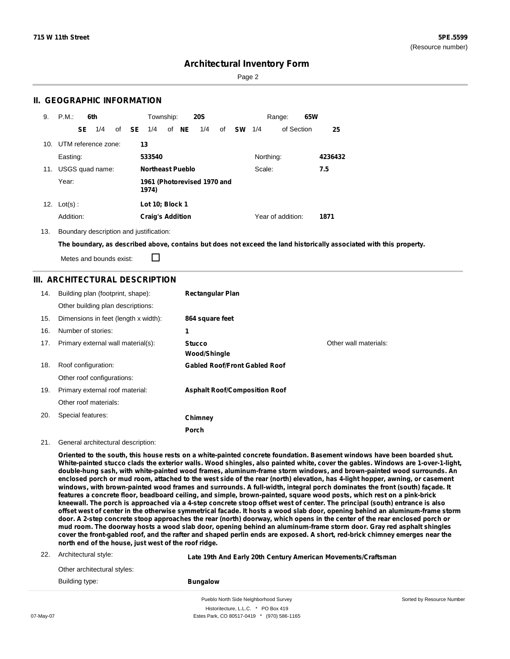Page 2

### **II. GEOGRAPHIC INFORMATION**

| 9.  | P.M.                    |    | 6th             |       | Township:               |       | <b>20S</b>                  |    |               |           | Range:            | 65W |         |
|-----|-------------------------|----|-----------------|-------|-------------------------|-------|-----------------------------|----|---------------|-----------|-------------------|-----|---------|
|     |                         | SE | 1/4             | of SE | 1/4                     | of NE | 1/4                         | of | <b>SW</b> 1/4 |           | of Section        |     | 25      |
|     | 10. UTM reference zone: |    |                 |       | 13                      |       |                             |    |               |           |                   |     |         |
|     | Easting:                |    |                 |       | 533540                  |       |                             |    |               | Northing: |                   |     | 4236432 |
| 11. |                         |    | USGS quad name: |       | <b>Northeast Pueblo</b> |       |                             |    |               | Scale:    |                   |     | 7.5     |
|     | Year:                   |    |                 |       | 1974)                   |       | 1961 (Photorevised 1970 and |    |               |           |                   |     |         |
| 12. | $Lot(s)$ :              |    |                 |       | Lot 10; Block 1         |       |                             |    |               |           |                   |     |         |
|     | Addition:               |    |                 |       | <b>Craig's Addition</b> |       |                             |    |               |           | Year of addition: |     | 1871    |

13. Boundary description and justification:

The boundary, as described above, contains but does not exceed the land historically associated with this property.

Metes and bounds exist:

П

### **III. ARCHITECTURAL DESCRIPTION**

| 14. | Building plan (footprint, shape):    | <b>Rectangular Plan</b>              |                       |
|-----|--------------------------------------|--------------------------------------|-----------------------|
|     | Other building plan descriptions:    |                                      |                       |
| 15. | Dimensions in feet (length x width): | 864 square feet                      |                       |
| 16. | Number of stories:                   | 1                                    |                       |
| 17. | Primary external wall material(s):   | <b>Stucco</b>                        | Other wall materials: |
|     |                                      | <b>Wood/Shingle</b>                  |                       |
| 18. | Roof configuration:                  | <b>Gabled Roof/Front Gabled Roof</b> |                       |
|     | Other roof configurations:           |                                      |                       |
| 19. | Primary external roof material:      | <b>Asphalt Roof/Composition Roof</b> |                       |
|     | Other roof materials:                |                                      |                       |
| 20. | Special features:                    | Chimney                              |                       |
|     |                                      | Porch                                |                       |

#### 21. General architectural description:

Oriented to the south, this house rests on a white-painted concrete foundation. Basement windows have been boarded shut. White-painted stucco clads the exterior walls. Wood shingles, also painted white, cover the gables. Windows are 1-over-1-light, **double-hung sash, with white-painted wood frames, aluminum-frame storm windows, and brown-painted wood surrounds. An** enclosed porch or mud room, attached to the west side of the rear (north) elevation, has 4-light hopper, awning, or casement windows, with brown-painted wood frames and surrounds. A full-width, integral porch dominates the front (south) façade. It features a concrete floor, beadboard ceiling, and simple, brown-painted, square wood posts, which rest on a pink-brick kneewall. The porch is approached via a 4-step concrete stoop offset west of center. The principal (south) entrance is also offset west of center in the otherwise symmetrical facade. It hosts a wood slab door, opening behind an aluminum-frame storm door. A 2-step concrete stoop approaches the rear (north) doorway, which opens in the center of the rear enclosed porch or mud room. The doorway hosts a wood slab door, opening behind an aluminum-frame storm door. Gray red asphalt shingles cover the front-gabled roof, and the rafter and shaped perlin ends are exposed. A short, red-brick chimney emerges near the **north end of the house, just west of the roof ridge.**

|     |                             | Pueblo North Side Neighborhood Survey                         | Sorted by Resource Number |  |  |
|-----|-----------------------------|---------------------------------------------------------------|---------------------------|--|--|
|     | Building type:              | <b>Bungalow</b>                                               |                           |  |  |
|     | Other architectural styles: |                                                               |                           |  |  |
| 22. | Architectural style:        | Late 19th And Early 20th Century American Movements/Craftsman |                           |  |  |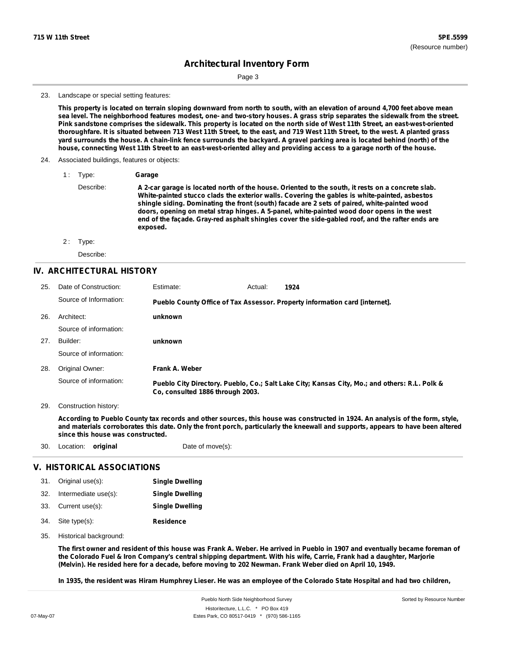Page 3

23. Landscape or special setting features:

This property is located on terrain sloping downward from north to south, with an elevation of around 4,700 feet above mean sea level. The neighborhood features modest, one- and two-story houses. A grass strip separates the sidewalk from the street. Pink sandstone comprises the sidewalk. This property is located on the north side of West 11th Street, an east-west-oriented thoroughfare. It is situated between 713 West 11th Street, to the east, and 719 West 11th Street, to the west. A planted grass yard surrounds the house. A chain-link fence surrounds the backyard. A gravel parking area is located behind (north) of the house, connecting West 11th Street to an east-west-oriented alley and providing access to a garage north of the house.

- 24. Associated buildings, features or objects:
	- 1 : Type: **Garage** Describe: A 2-car garage is located north of the house. Oriented to the south, it rests on a concrete slab. **White-painted stucco clads the exterior walls. Covering the gables is white-painted, asbestos shingle siding. Dominating the front (south) facade are 2 sets of paired, white-painted wood doors, opening on metal strap hinges. A 5-panel, white-painted wood door opens in the west end of the façade. Gray-red asphalt shingles cover the side-gabled roof, and the rafter ends are exposed.**
	- 2: Type:

Describe:

### **IV. ARCHITECTURAL HISTORY**

| 25. | Date of Construction:  | Estimate:                                                                   | Actual: | 1924                                                                                          |  |  |  |
|-----|------------------------|-----------------------------------------------------------------------------|---------|-----------------------------------------------------------------------------------------------|--|--|--|
|     | Source of Information: | Pueblo County Office of Tax Assessor. Property information card [internet]. |         |                                                                                               |  |  |  |
| 26. | Architect:             | unknown                                                                     |         |                                                                                               |  |  |  |
|     | Source of information: |                                                                             |         |                                                                                               |  |  |  |
| 27. | Builder:               | unknown                                                                     |         |                                                                                               |  |  |  |
|     | Source of information: |                                                                             |         |                                                                                               |  |  |  |
| 28. | Original Owner:        | Frank A. Weber                                                              |         |                                                                                               |  |  |  |
|     | Source of information: | Co. consulted 1886 through 2003.                                            |         | Pueblo City Directory. Pueblo, Co.; Salt Lake City; Kansas City, Mo.; and others: R.L. Polk & |  |  |  |

29. Construction history:

According to Pueblo County tax records and other sources, this house was constructed in 1924. An analysis of the form, style, and materials corroborates this date. Only the front porch, particularly the kneewall and supports, appears to have been altered **since this house was constructed.**

30. Location: **original** Date of move(s):

#### **V. HISTORICAL ASSOCIATIONS**

| 31. | Original use(s):     | <b>Single Dwelling</b> |
|-----|----------------------|------------------------|
| 32. | Intermediate use(s): | <b>Single Dwelling</b> |
|     | 33. Current use(s):  | <b>Single Dwelling</b> |
| 34. | Site type(s):        | <b>Residence</b>       |

35. Historical background:

The first owner and resident of this house was Frank A. Weber. He arrived in Pueblo in 1907 and eventually became foreman of the Colorado Fuel & Iron Company's central shipping department. With his wife, Carrie, Frank had a daughter, Marjorie (Melvin). He resided here for a decade, before moving to 202 Newman. Frank Weber died on April 10, 1949.

In 1935, the resident was Hiram Humphrey Lieser. He was an employee of the Colorado State Hospital and had two children,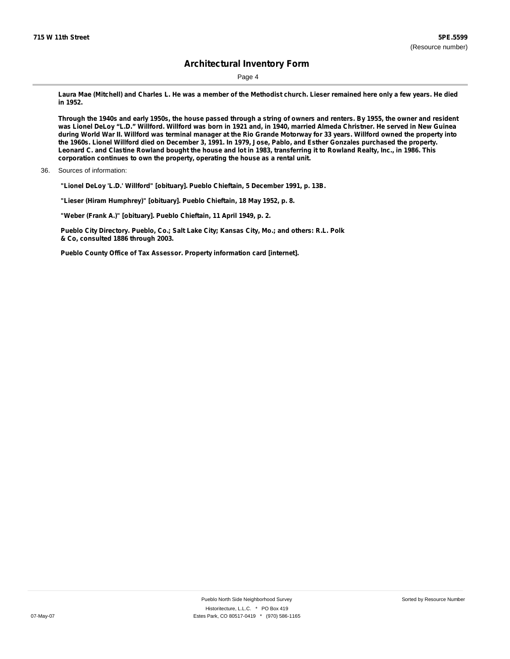Page 4

Laura Mae (Mitchell) and Charles L. He was a member of the Methodist church. Lieser remained here only a few years. He died **in 1952.**

Through the 1940s and early 1950s, the house passed through a string of owners and renters. By 1955, the owner and resident was Lionel DeLoy "L.D." Willford. Willford was born in 1921 and, in 1940, married Almeda Christner. He served in New Guinea during World War II. Willford was terminal manager at the Rio Grande Motorway for 33 years. Willford owned the property into the 1960s. Lionel Willford died on December 3, 1991. In 1979, Jose, Pablo, and Esther Gonzales purchased the property. Leonard C. and Clastine Rowland bought the house and lot in 1983, transferring it to Rowland Realty, Inc., in 1986. This **corporation continues to own the property, operating the house as a rental unit.**

**"Lionel DeLoy 'L.D.' Willford" [obituary]. Pueblo Chieftain, 5 December 1991, p. 13B.**

**"Lieser (Hiram Humphrey)" [obituary]. Pueblo Chieftain, 18 May 1952, p. 8.**

**"Weber (Frank A.)" [obituary]. Pueblo Chieftain, 11 April 1949, p. 2.**

**Pueblo City Directory. Pueblo, Co.; Salt Lake City; Kansas City, Mo.; and others: R.L. Polk & Co, consulted 1886 through 2003.**

**Pueblo County Office of Tax Assessor. Property information card [internet].**

<sup>36.</sup> Sources of information: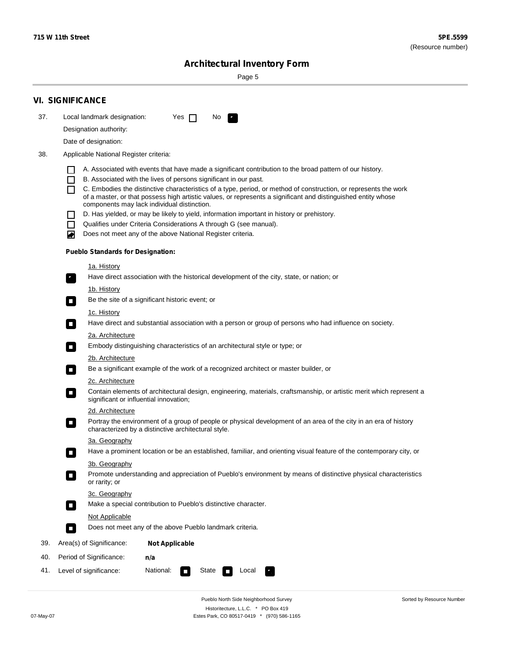Sorted by Resource Number

# **Architectural Inventory Form**

Page 5

|                  | <b>VI. SIGNIFICANCE</b>                                                                                                                                                                        |  |  |  |  |
|------------------|------------------------------------------------------------------------------------------------------------------------------------------------------------------------------------------------|--|--|--|--|
| 37.              | Local landmark designation:<br>Yes $\Box$<br>No.<br>$\mathbf{F}_{\mathbf{r}}$                                                                                                                  |  |  |  |  |
|                  | Designation authority:                                                                                                                                                                         |  |  |  |  |
|                  | Date of designation:                                                                                                                                                                           |  |  |  |  |
| 38.              | Applicable National Register criteria:                                                                                                                                                         |  |  |  |  |
|                  |                                                                                                                                                                                                |  |  |  |  |
|                  | A. Associated with events that have made a significant contribution to the broad pattern of our history.<br>B. Associated with the lives of persons significant in our past.<br>$\blacksquare$ |  |  |  |  |
|                  | C. Embodies the distinctive characteristics of a type, period, or method of construction, or represents the work<br>П                                                                          |  |  |  |  |
|                  | of a master, or that possess high artistic values, or represents a significant and distinguished entity whose<br>components may lack individual distinction.                                   |  |  |  |  |
|                  | D. Has yielded, or may be likely to yield, information important in history or prehistory.                                                                                                     |  |  |  |  |
|                  | Qualifies under Criteria Considerations A through G (see manual).<br>$\sim$                                                                                                                    |  |  |  |  |
|                  | Does not meet any of the above National Register criteria.<br>₩                                                                                                                                |  |  |  |  |
|                  | <b>Pueblo Standards for Designation:</b>                                                                                                                                                       |  |  |  |  |
|                  | 1a. History                                                                                                                                                                                    |  |  |  |  |
|                  | $\overline{\mathbf{r}}_1$<br>Have direct association with the historical development of the city, state, or nation; or                                                                         |  |  |  |  |
|                  | <u>1b. History</u>                                                                                                                                                                             |  |  |  |  |
|                  | Be the site of a significant historic event; or<br>$\overline{\phantom{a}}$                                                                                                                    |  |  |  |  |
|                  | 1c. History                                                                                                                                                                                    |  |  |  |  |
|                  | Have direct and substantial association with a person or group of persons who had influence on society.<br>$\overline{\phantom{a}}$                                                            |  |  |  |  |
|                  | 2a. Architecture                                                                                                                                                                               |  |  |  |  |
|                  | Embody distinguishing characteristics of an architectural style or type; or<br>$\Box$                                                                                                          |  |  |  |  |
| 2b. Architecture |                                                                                                                                                                                                |  |  |  |  |
|                  | Be a significant example of the work of a recognized architect or master builder, or<br>$\Box$                                                                                                 |  |  |  |  |
|                  | 2c. Architecture                                                                                                                                                                               |  |  |  |  |
|                  | Contain elements of architectural design, engineering, materials, craftsmanship, or artistic merit which represent a<br>$\Box$<br>significant or influential innovation;                       |  |  |  |  |
|                  | 2d. Architecture                                                                                                                                                                               |  |  |  |  |
|                  | Portray the environment of a group of people or physical development of an area of the city in an era of history<br>$\Box$<br>characterized by a distinctive architectural style.              |  |  |  |  |
|                  | 3a. Geography                                                                                                                                                                                  |  |  |  |  |
|                  | Have a prominent location or be an established, familiar, and orienting visual feature of the contemporary city, or                                                                            |  |  |  |  |
|                  | 3b. Geography<br>Promote understanding and appreciation of Pueblo's environment by means of distinctive physical characteristics                                                               |  |  |  |  |
|                  | or rarity; or                                                                                                                                                                                  |  |  |  |  |
|                  | 3c. Geography                                                                                                                                                                                  |  |  |  |  |
|                  | Make a special contribution to Pueblo's distinctive character.<br>$\overline{\phantom{a}}$                                                                                                     |  |  |  |  |
|                  | <b>Not Applicable</b>                                                                                                                                                                          |  |  |  |  |
|                  | Does not meet any of the above Pueblo landmark criteria.<br>$\overline{\phantom{a}}$                                                                                                           |  |  |  |  |
| 39.              | Area(s) of Significance:<br><b>Not Applicable</b>                                                                                                                                              |  |  |  |  |
| 40.              | Period of Significance:<br>n/a                                                                                                                                                                 |  |  |  |  |
| 41.              | National:<br>Level of significance:<br>State<br>Local<br>$\mathcal{L}_{\mathcal{A}}$                                                                                                           |  |  |  |  |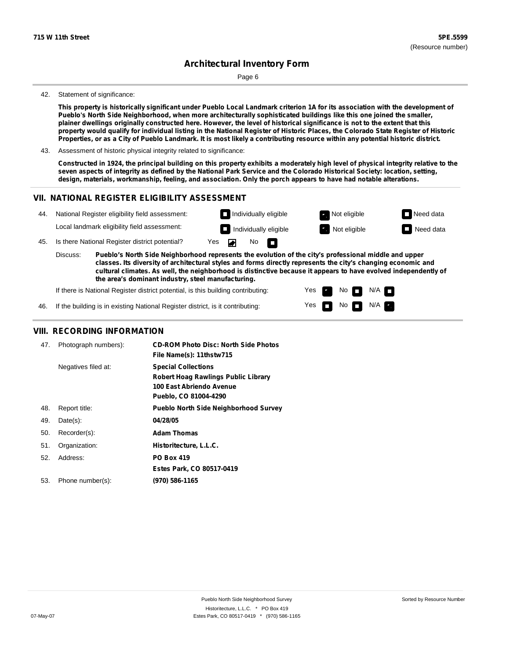Page 6

#### 42. Statement of significance:

This property is historically significant under Pueblo Local Landmark criterion 1A for its association with the development of **Pueblo's North Side Neighborhood, when more architecturally sophisticated buildings like this one joined the smaller,** plainer dwellings originally constructed here. However, the level of historical significance is not to the extent that this property would qualify for individual listing in the National Register of Historic Places, the Colorado State Register of Historic Properties, or as a City of Pueblo Landmark. It is most likely a contributing resource within any potential historic district.

43. Assessment of historic physical integrity related to significance:

Constructed in 1924, the principal building on this property exhibits a moderately high level of physical integrity relative to the seven aspects of integrity as defined by the National Park Service and the Colorado Historical Society: location, setting, **design, materials, workmanship, feeling, and association. Only the porch appears to have had notable alterations.**

> Yes Yes

No **D** N/A  $N$ o  $N/A$ 

### **VII. NATIONAL REGISTER ELIGIBILITY ASSESSMENT**



If there is National Register district potential, is this building contributing:

If the building is in existing National Register district, is it contributing: 46.

#### **VIII. RECORDING INFORMATION**

| 47. | Photograph numbers): | <b>CD-ROM Photo Disc: North Side Photos</b><br>File Name(s): 11thstw715                                                       |
|-----|----------------------|-------------------------------------------------------------------------------------------------------------------------------|
|     | Negatives filed at:  | <b>Special Collections</b><br><b>Robert Hoag Rawlings Public Library</b><br>100 East Abriendo Avenue<br>Pueblo, CO 81004-4290 |
| 48. | Report title:        | <b>Pueblo North Side Neighborhood Survey</b>                                                                                  |
| 49. | $Date(s)$ :          | 04/28/05                                                                                                                      |
| 50. | Recorder(s):         | <b>Adam Thomas</b>                                                                                                            |
| 51. | Organization:        | Historitecture, L.L.C.                                                                                                        |
| 52. | Address:             | <b>PO Box 419</b>                                                                                                             |
|     |                      | Estes Park, CO 80517-0419                                                                                                     |
| 53. | Phone number(s):     | (970) 586-1165                                                                                                                |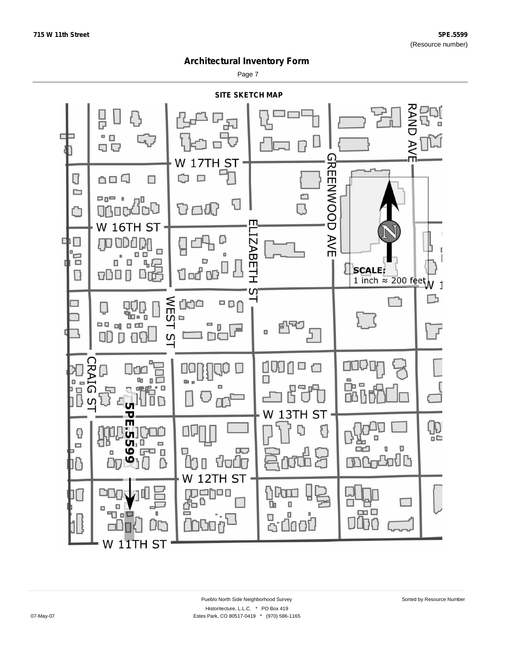Page 7